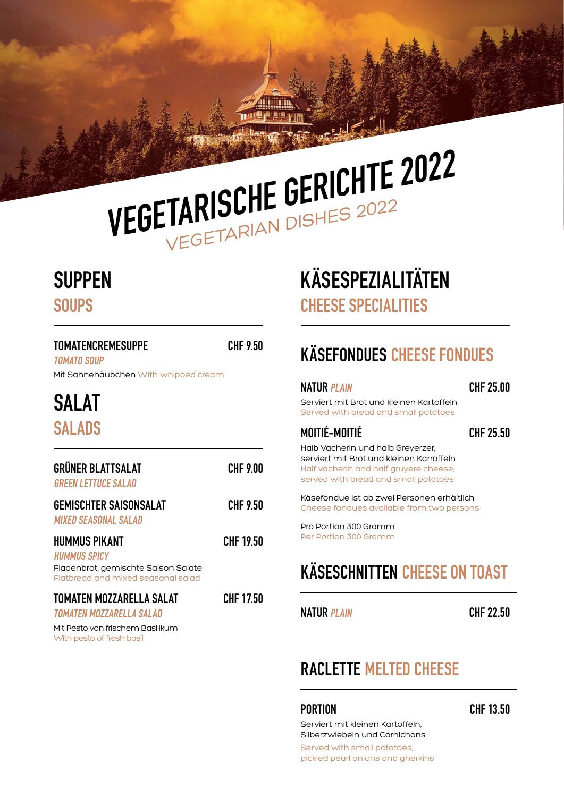# VEGETARISCHE GERICHTE 2022

## **SUPPEN**

**SOUPS** 

### TOMATENCREMESUPPE CHF 9.50 TOMATO SOUP Mit Sahnehäubchen With whipped cream SALAT SALADS

| <b>GRÜNER BLATTSALAT</b><br><b>GREEN LETTUCE SALAD</b>                                                                   | <b>CHF 9.00</b> |
|--------------------------------------------------------------------------------------------------------------------------|-----------------|
| <b>GEMISCHTER SAISONSALAT</b><br><b>MIXED SEASONAL SALAD</b>                                                             | CHF 9.50        |
| <b>HUMMUS PIKANT</b><br><b>HUMMUS SPICY</b><br>Fladenbrot, gemischte Saison Salate<br>Flatbread and mixed seasonal salad | CHF 19.50       |
| TOMATEN MOZZARELLA SALAT<br>TOMATEN MOZZARELLA SALAD<br>Mit Desto von frischem Rasilikum                                 | CHF 17.50       |

Mit Pesto von frischem Basilikum With pesto of fresh basil

## KÄSESPEZIALITÄTEN CHEESE SPECIALITIES

## KÄSEFONDUES CHEESE FONDUES

#### NATUR PLAIN CHF 25.00

Serviert mit Brot und kleinen Kartoffeln Served with bread and small potatoes

#### MOITIÉ-MOITIÉ CHF 25.50

Halb Vacherin und halb Greyerzer, serviert mit Brot und kleinen Karroffeln Half vacherin and half gruyere cheese, served with bread and small potatoes

Käsefondue ist ab zwei Personen erhältlich Cheese fondues available from two persons

Pro Portion 300 Gramm Per Portion 300 Gramm

## KÄSESCHNITTEN CHEESE ON TOAST

NATUR PLAIN CHF 22.50

#### RACLETTE MELTED CHEESE

PORTION CHF 13.50

Serviert mit kleinen Kartoffeln, Silberzwiebeln und Cornichons

Served with small potatoes, pickled pearl onions and gherkins